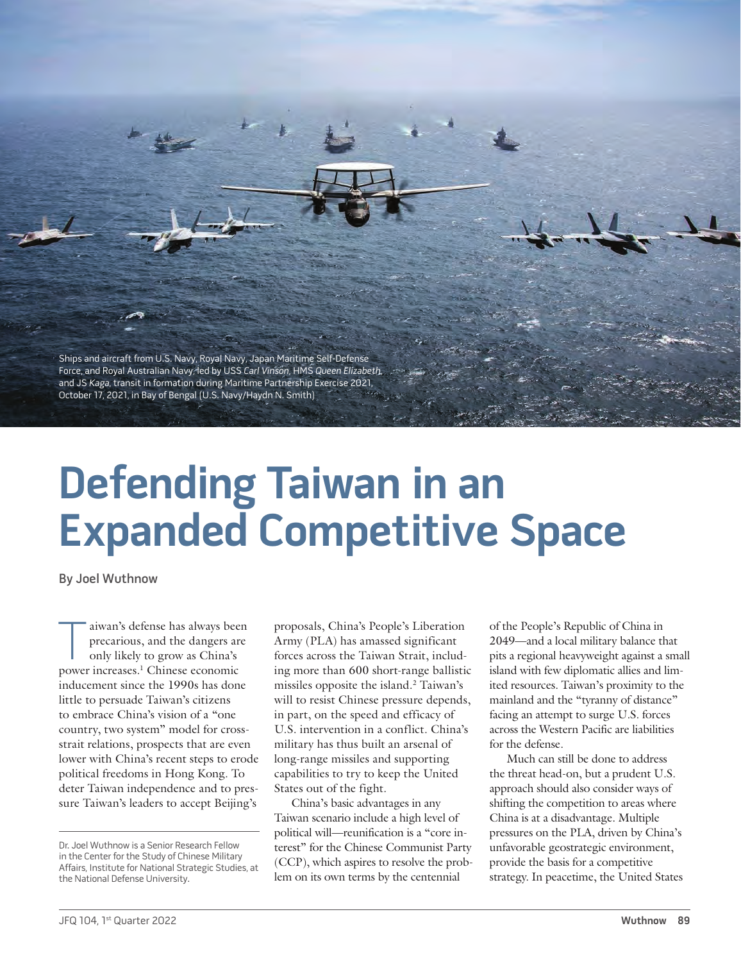Ships and aircraft from U.S. Navy, Royal Navy, Japan Maritime Self-Defense Force, and Royal Australian Navy, led by USS Carl Vinson, HMS Queen Elizabeth, and JS Kaga, transit in formation during Maritime Partnership Exercise 2021, October 17, 2021, in Bay of Bengal (U.S. Navy/Haydn N. Smith)

# **Defending Taiwan in an Expanded Competitive Space**

By Joel Wuthnow

aiwan's defense has always been precarious, and the dangers are only likely to grow as China's power increases.1 Chinese economic inducement since the 1990s has done little to persuade Taiwan's citizens to embrace China's vision of a "one country, two system" model for crossstrait relations, prospects that are even lower with China's recent steps to erode political freedoms in Hong Kong. To deter Taiwan independence and to pressure Taiwan's leaders to accept Beijing's

proposals, China's People's Liberation Army (PLA) has amassed significant forces across the Taiwan Strait, including more than 600 short-range ballistic missiles opposite the island.2 Taiwan's will to resist Chinese pressure depends, in part, on the speed and efficacy of U.S. intervention in a conflict. China's military has thus built an arsenal of long-range missiles and supporting capabilities to try to keep the United States out of the fight.

China's basic advantages in any Taiwan scenario include a high level of political will—reunification is a "core interest" for the Chinese Communist Party (CCP), which aspires to resolve the problem on its own terms by the centennial

of the People's Republic of China in 2049—and a local military balance that pits a regional heavyweight against a small island with few diplomatic allies and limited resources. Taiwan's proximity to the mainland and the "tyranny of distance" facing an attempt to surge U.S. forces across the Western Pacific are liabilities for the defense.

Much can still be done to address the threat head-on, but a prudent U.S. approach should also consider ways of shifting the competition to areas where China is at a disadvantage. Multiple pressures on the PLA, driven by China's unfavorable geostrategic environment, provide the basis for a competitive strategy. In peacetime, the United States

Dr. Joel Wuthnow is a Senior Research Fellow in the Center for the Study of Chinese Military Affairs, Institute for National Strategic Studies, at the National Defense University.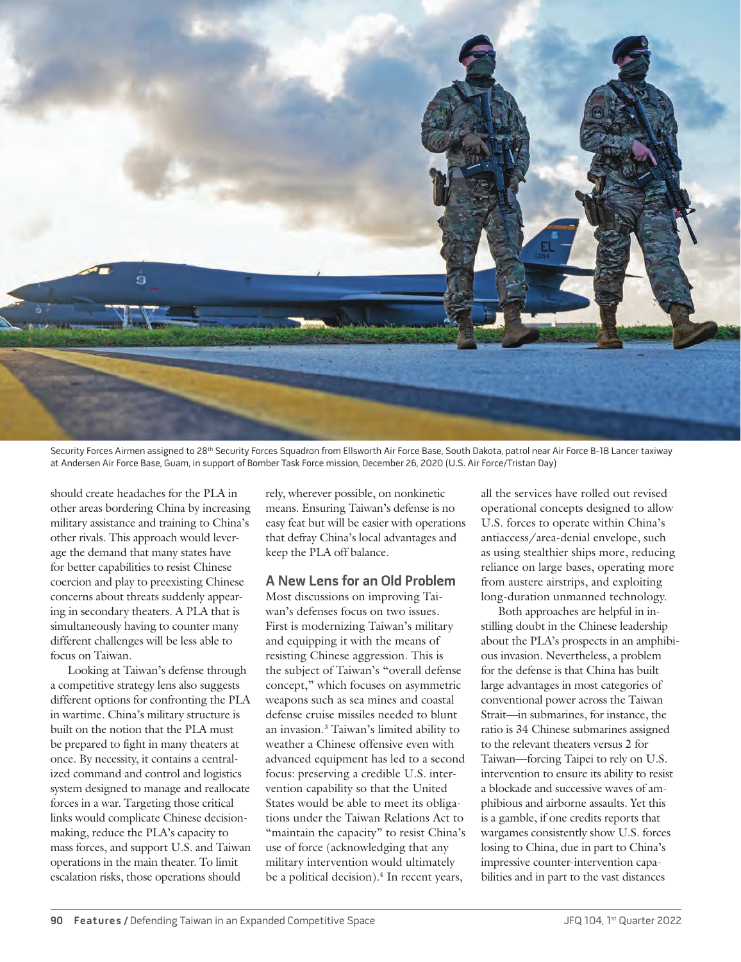

Security Forces Airmen assigned to 28<sup>th</sup> Security Forces Squadron from Ellsworth Air Force Base, South Dakota, patrol near Air Force B-1B Lancer taxiway at Andersen Air Force Base, Guam, in support of Bomber Task Force mission, December 26, 2020 (U.S. Air Force/Tristan Day)

should create headaches for the PLA in other areas bordering China by increasing military assistance and training to China's other rivals. This approach would leverage the demand that many states have for better capabilities to resist Chinese coercion and play to preexisting Chinese concerns about threats suddenly appearing in secondary theaters. A PLA that is simultaneously having to counter many different challenges will be less able to focus on Taiwan.

Looking at Taiwan's defense through a competitive strategy lens also suggests different options for confronting the PLA in wartime. China's military structure is built on the notion that the PLA must be prepared to fight in many theaters at once. By necessity, it contains a centralized command and control and logistics system designed to manage and reallocate forces in a war. Targeting those critical links would complicate Chinese decisionmaking, reduce the PLA's capacity to mass forces, and support U.S. and Taiwan operations in the main theater. To limit escalation risks, those operations should

rely, wherever possible, on nonkinetic means. Ensuring Taiwan's defense is no easy feat but will be easier with operations that defray China's local advantages and keep the PLA off balance.

#### **A New Lens for an Old Problem**

Most discussions on improving Taiwan's defenses focus on two issues. First is modernizing Taiwan's military and equipping it with the means of resisting Chinese aggression. This is the subject of Taiwan's "overall defense concept," which focuses on asymmetric weapons such as sea mines and coastal defense cruise missiles needed to blunt an invasion.3 Taiwan's limited ability to weather a Chinese offensive even with advanced equipment has led to a second focus: preserving a credible U.S. intervention capability so that the United States would be able to meet its obligations under the Taiwan Relations Act to "maintain the capacity" to resist China's use of force (acknowledging that any military intervention would ultimately be a political decision).<sup>4</sup> In recent years,

all the services have rolled out revised operational concepts designed to allow U.S. forces to operate within China's antiaccess/area-denial envelope, such as using stealthier ships more, reducing reliance on large bases, operating more from austere airstrips, and exploiting long-duration unmanned technology.

Both approaches are helpful in instilling doubt in the Chinese leadership about the PLA's prospects in an amphibious invasion. Nevertheless, a problem for the defense is that China has built large advantages in most categories of conventional power across the Taiwan Strait—in submarines, for instance, the ratio is 34 Chinese submarines assigned to the relevant theaters versus 2 for Taiwan—forcing Taipei to rely on U.S. intervention to ensure its ability to resist a blockade and successive waves of amphibious and airborne assaults. Yet this is a gamble, if one credits reports that wargames consistently show U.S. forces losing to China, due in part to China's impressive counter-intervention capabilities and in part to the vast distances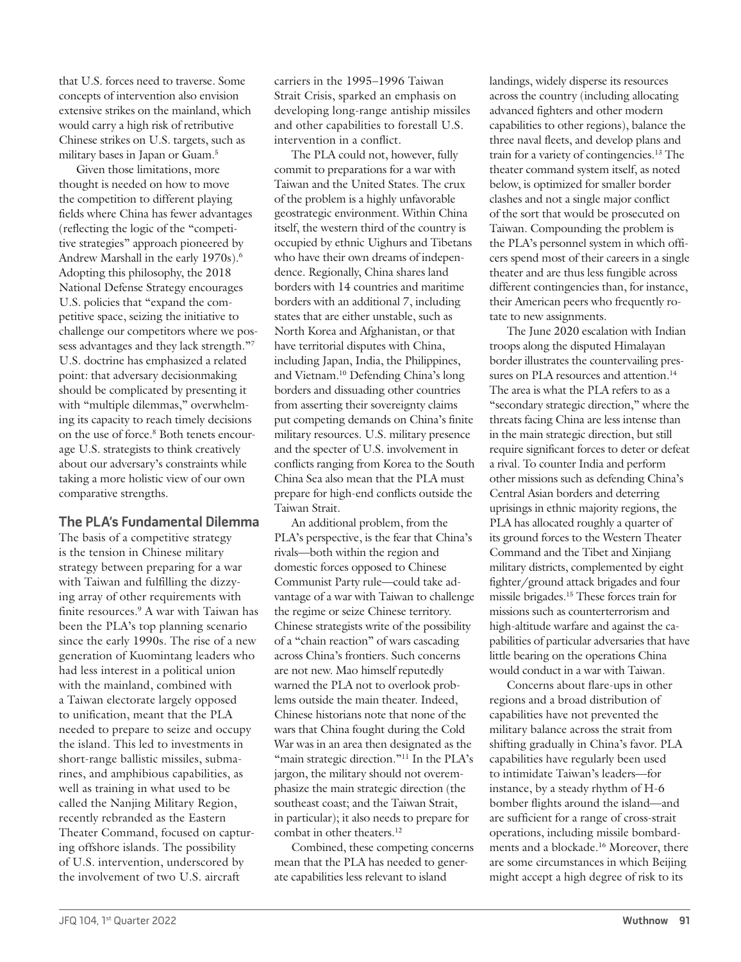that U.S. forces need to traverse. Some concepts of intervention also envision extensive strikes on the mainland, which would carry a high risk of retributive Chinese strikes on U.S. targets, such as military bases in Japan or Guam.5

Given those limitations, more thought is needed on how to move the competition to different playing fields where China has fewer advantages (reflecting the logic of the "competitive strategies" approach pioneered by Andrew Marshall in the early 1970s).6 Adopting this philosophy, the 2018 National Defense Strategy encourages U.S. policies that "expand the competitive space, seizing the initiative to challenge our competitors where we possess advantages and they lack strength."7 U.S. doctrine has emphasized a related point: that adversary decisionmaking should be complicated by presenting it with "multiple dilemmas," overwhelming its capacity to reach timely decisions on the use of force.8 Both tenets encourage U.S. strategists to think creatively about our adversary's constraints while taking a more holistic view of our own comparative strengths.

### **The PLA's Fundamental Dilemma**

The basis of a competitive strategy is the tension in Chinese military strategy between preparing for a war with Taiwan and fulfilling the dizzying array of other requirements with finite resources.<sup>9</sup> A war with Taiwan has been the PLA's top planning scenario since the early 1990s. The rise of a new generation of Kuomintang leaders who had less interest in a political union with the mainland, combined with a Taiwan electorate largely opposed to unification, meant that the PLA needed to prepare to seize and occupy the island. This led to investments in short-range ballistic missiles, submarines, and amphibious capabilities, as well as training in what used to be called the Nanjing Military Region, recently rebranded as the Eastern Theater Command, focused on capturing offshore islands. The possibility of U.S. intervention, underscored by the involvement of two U.S. aircraft

carriers in the 1995–1996 Taiwan Strait Crisis, sparked an emphasis on developing long-range antiship missiles and other capabilities to forestall U.S. intervention in a conflict.

The PLA could not, however, fully commit to preparations for a war with Taiwan and the United States. The crux of the problem is a highly unfavorable geostrategic environment. Within China itself, the western third of the country is occupied by ethnic Uighurs and Tibetans who have their own dreams of independence. Regionally, China shares land borders with 14 countries and maritime borders with an additional 7, including states that are either unstable, such as North Korea and Afghanistan, or that have territorial disputes with China, including Japan, India, the Philippines, and Vietnam.10 Defending China's long borders and dissuading other countries from asserting their sovereignty claims put competing demands on China's finite military resources. U.S. military presence and the specter of U.S. involvement in conflicts ranging from Korea to the South China Sea also mean that the PLA must prepare for high-end conflicts outside the Taiwan Strait.

An additional problem, from the PLA's perspective, is the fear that China's rivals—both within the region and domestic forces opposed to Chinese Communist Party rule—could take advantage of a war with Taiwan to challenge the regime or seize Chinese territory. Chinese strategists write of the possibility of a "chain reaction" of wars cascading across China's frontiers. Such concerns are not new. Mao himself reputedly warned the PLA not to overlook problems outside the main theater. Indeed, Chinese historians note that none of the wars that China fought during the Cold War was in an area then designated as the "main strategic direction."<sup>11</sup> In the PLA's jargon, the military should not overemphasize the main strategic direction (the southeast coast; and the Taiwan Strait, in particular); it also needs to prepare for combat in other theaters.<sup>12</sup>

Combined, these competing concerns mean that the PLA has needed to generate capabilities less relevant to island

landings, widely disperse its resources across the country (including allocating advanced fighters and other modern capabilities to other regions), balance the three naval fleets, and develop plans and train for a variety of contingencies.13 The theater command system itself, as noted below, is optimized for smaller border clashes and not a single major conflict of the sort that would be prosecuted on Taiwan. Compounding the problem is the PLA's personnel system in which officers spend most of their careers in a single theater and are thus less fungible across different contingencies than, for instance, their American peers who frequently rotate to new assignments.

The June 2020 escalation with Indian troops along the disputed Himalayan border illustrates the countervailing pressures on PLA resources and attention.<sup>14</sup> The area is what the PLA refers to as a "secondary strategic direction," where the threats facing China are less intense than in the main strategic direction, but still require significant forces to deter or defeat a rival. To counter India and perform other missions such as defending China's Central Asian borders and deterring uprisings in ethnic majority regions, the PLA has allocated roughly a quarter of its ground forces to the Western Theater Command and the Tibet and Xinjiang military districts, complemented by eight fighter/ground attack brigades and four missile brigades.15 These forces train for missions such as counterterrorism and high-altitude warfare and against the capabilities of particular adversaries that have little bearing on the operations China would conduct in a war with Taiwan.

Concerns about flare-ups in other regions and a broad distribution of capabilities have not prevented the military balance across the strait from shifting gradually in China's favor. PLA capabilities have regularly been used to intimidate Taiwan's leaders—for instance, by a steady rhythm of H-6 bomber flights around the island—and are sufficient for a range of cross-strait operations, including missile bombardments and a blockade.16 Moreover, there are some circumstances in which Beijing might accept a high degree of risk to its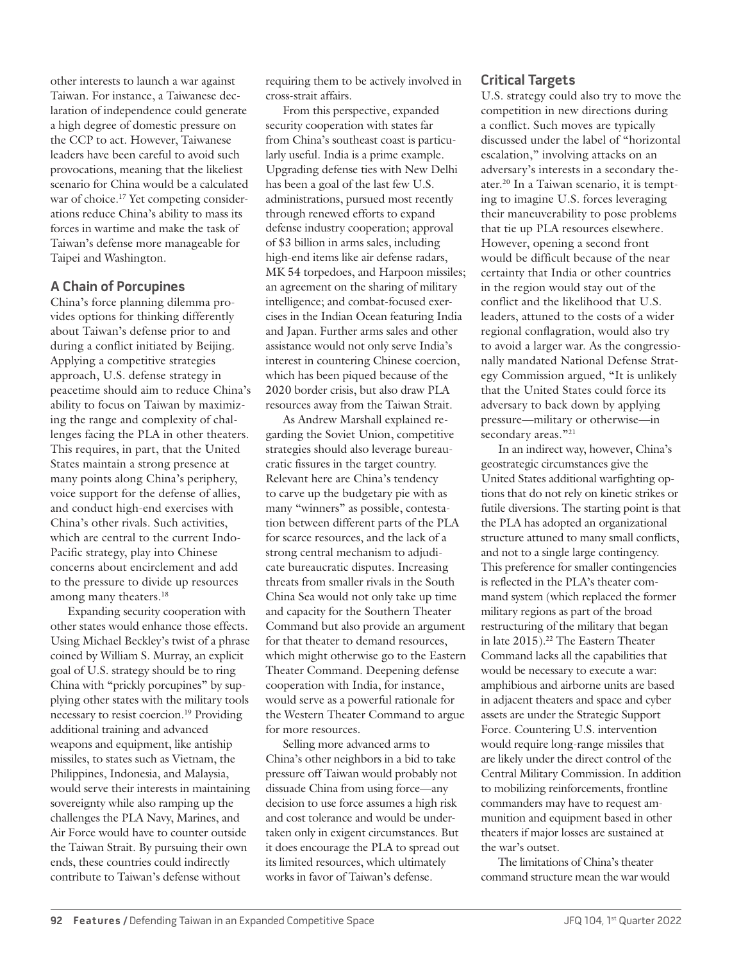other interests to launch a war against Taiwan. For instance, a Taiwanese declaration of independence could generate a high degree of domestic pressure on the CCP to act. However, Taiwanese leaders have been careful to avoid such provocations, meaning that the likeliest scenario for China would be a calculated war of choice.<sup>17</sup> Yet competing considerations reduce China's ability to mass its forces in wartime and make the task of Taiwan's defense more manageable for Taipei and Washington.

# **A Chain of Porcupines**

China's force planning dilemma provides options for thinking differently about Taiwan's defense prior to and during a conflict initiated by Beijing. Applying a competitive strategies approach, U.S. defense strategy in peacetime should aim to reduce China's ability to focus on Taiwan by maximizing the range and complexity of challenges facing the PLA in other theaters. This requires, in part, that the United States maintain a strong presence at many points along China's periphery, voice support for the defense of allies, and conduct high-end exercises with China's other rivals. Such activities, which are central to the current Indo-Pacific strategy, play into Chinese concerns about encirclement and add to the pressure to divide up resources among many theaters.<sup>18</sup>

Expanding security cooperation with other states would enhance those effects. Using Michael Beckley's twist of a phrase coined by William S. Murray, an explicit goal of U.S. strategy should be to ring China with "prickly porcupines" by supplying other states with the military tools necessary to resist coercion.19 Providing additional training and advanced weapons and equipment, like antiship missiles, to states such as Vietnam, the Philippines, Indonesia, and Malaysia, would serve their interests in maintaining sovereignty while also ramping up the challenges the PLA Navy, Marines, and Air Force would have to counter outside the Taiwan Strait. By pursuing their own ends, these countries could indirectly contribute to Taiwan's defense without

requiring them to be actively involved in cross-strait affairs.

From this perspective, expanded security cooperation with states far from China's southeast coast is particularly useful. India is a prime example. Upgrading defense ties with New Delhi has been a goal of the last few U.S. administrations, pursued most recently through renewed efforts to expand defense industry cooperation; approval of \$3 billion in arms sales, including high-end items like air defense radars, MK 54 torpedoes, and Harpoon missiles; an agreement on the sharing of military intelligence; and combat-focused exercises in the Indian Ocean featuring India and Japan. Further arms sales and other assistance would not only serve India's interest in countering Chinese coercion, which has been piqued because of the 2020 border crisis, but also draw PLA resources away from the Taiwan Strait.

As Andrew Marshall explained regarding the Soviet Union, competitive strategies should also leverage bureaucratic fissures in the target country. Relevant here are China's tendency to carve up the budgetary pie with as many "winners" as possible, contestation between different parts of the PLA for scarce resources, and the lack of a strong central mechanism to adjudicate bureaucratic disputes. Increasing threats from smaller rivals in the South China Sea would not only take up time and capacity for the Southern Theater Command but also provide an argument for that theater to demand resources, which might otherwise go to the Eastern Theater Command. Deepening defense cooperation with India, for instance, would serve as a powerful rationale for the Western Theater Command to argue for more resources.

Selling more advanced arms to China's other neighbors in a bid to take pressure off Taiwan would probably not dissuade China from using force—any decision to use force assumes a high risk and cost tolerance and would be undertaken only in exigent circumstances. But it does encourage the PLA to spread out its limited resources, which ultimately works in favor of Taiwan's defense.

# **Critical Targets**

U.S. strategy could also try to move the competition in new directions during a conflict. Such moves are typically discussed under the label of "horizontal escalation," involving attacks on an adversary's interests in a secondary theater.20 In a Taiwan scenario, it is tempting to imagine U.S. forces leveraging their maneuverability to pose problems that tie up PLA resources elsewhere. However, opening a second front would be difficult because of the near certainty that India or other countries in the region would stay out of the conflict and the likelihood that U.S. leaders, attuned to the costs of a wider regional conflagration, would also try to avoid a larger war. As the congressionally mandated National Defense Strategy Commission argued, "It is unlikely that the United States could force its adversary to back down by applying pressure—military or otherwise—in secondary areas."<sup>21</sup>

In an indirect way, however, China's geostrategic circumstances give the United States additional warfighting options that do not rely on kinetic strikes or futile diversions. The starting point is that the PLA has adopted an organizational structure attuned to many small conflicts, and not to a single large contingency. This preference for smaller contingencies is reflected in the PLA's theater command system (which replaced the former military regions as part of the broad restructuring of the military that began in late 2015).22 The Eastern Theater Command lacks all the capabilities that would be necessary to execute a war: amphibious and airborne units are based in adjacent theaters and space and cyber assets are under the Strategic Support Force. Countering U.S. intervention would require long-range missiles that are likely under the direct control of the Central Military Commission. In addition to mobilizing reinforcements, frontline commanders may have to request ammunition and equipment based in other theaters if major losses are sustained at the war's outset.

The limitations of China's theater command structure mean the war would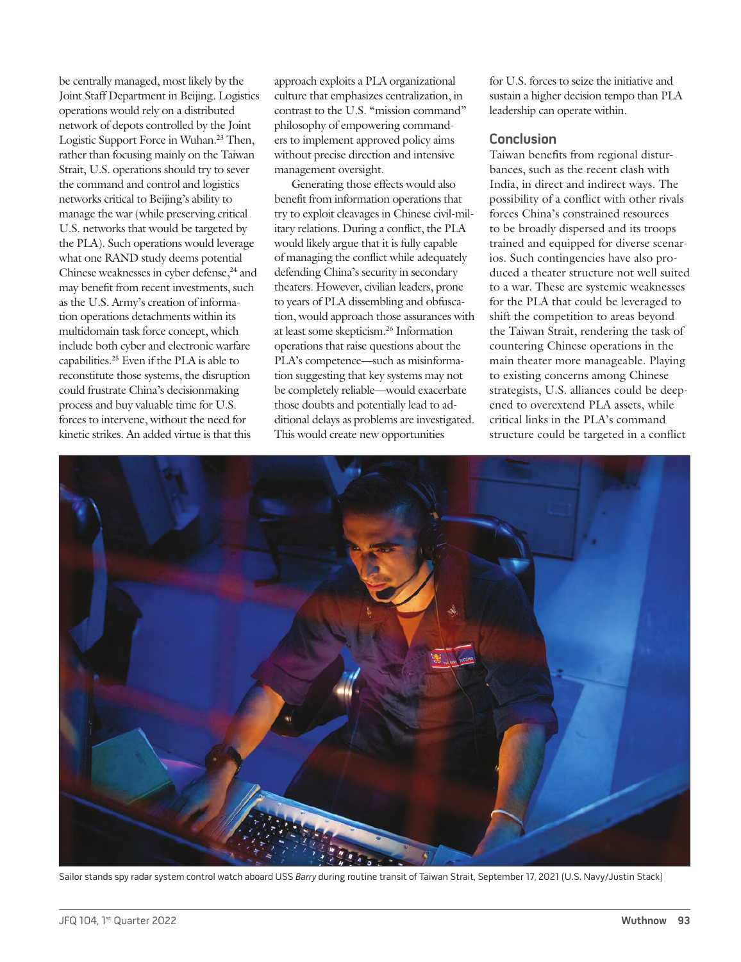be centrally managed, most likely by the Joint Staff Department in Beijing. Logistics operations would rely on a distributed network of depots controlled by the Joint Logistic Support Force in Wuhan.<sup>23</sup> Then, rather than focusing mainly on the Taiwan Strait, U.S. operations should try to sever the command and control and logistics networks critical to Beijing's ability to manage the war (while preserving critical U.S. networks that would be targeted by the PLA). Such operations would leverage what one RAND study deems potential Chinese weaknesses in cyber defense,<sup>24</sup> and may benefit from recent investments, such as the U.S. Army's creation of information operations detachments within its multidomain task force concept, which include both cyber and electronic warfare capabilities.25 Even if the PLA is able to reconstitute those systems, the disruption could frustrate China's decisionmaking process and buy valuable time for U.S. forces to intervene, without the need for kinetic strikes. An added virtue is that this

approach exploits a PLA organizational culture that emphasizes centralization, in contrast to the U.S. "mission command" philosophy of empowering commanders to implement approved policy aims without precise direction and intensive management oversight.

Generating those effects would also benefit from information operations that try to exploit cleavages in Chinese civil-military relations. During a conflict, the PLA would likely argue that it is fully capable of managing the conflict while adequately defending China's security in secondary theaters. However, civilian leaders, prone to years of PLA dissembling and obfuscation, would approach those assurances with at least some skepticism.26 Information operations that raise questions about the PLA's competence—such as misinformation suggesting that key systems may not be completely reliable—would exacerbate those doubts and potentially lead to additional delays as problems are investigated. This would create new opportunities

for U.S. forces to seize the initiative and sustain a higher decision tempo than PLA leadership can operate within.

#### **Conclusion**

Taiwan benefits from regional disturbances, such as the recent clash with India, in direct and indirect ways. The possibility of a conflict with other rivals forces China's constrained resources to be broadly dispersed and its troops trained and equipped for diverse scenarios. Such contingencies have also produced a theater structure not well suited to a war. These are systemic weaknesses for the PLA that could be leveraged to shift the competition to areas beyond the Taiwan Strait, rendering the task of countering Chinese operations in the main theater more manageable. Playing to existing concerns among Chinese strategists, U.S. alliances could be deepened to overextend PLA assets, while critical links in the PLA's command structure could be targeted in a conflict



Sailor stands spy radar system control watch aboard USS Barry during routine transit of Taiwan Strait, September 17, 2021 (U.S. Navy/Justin Stack)